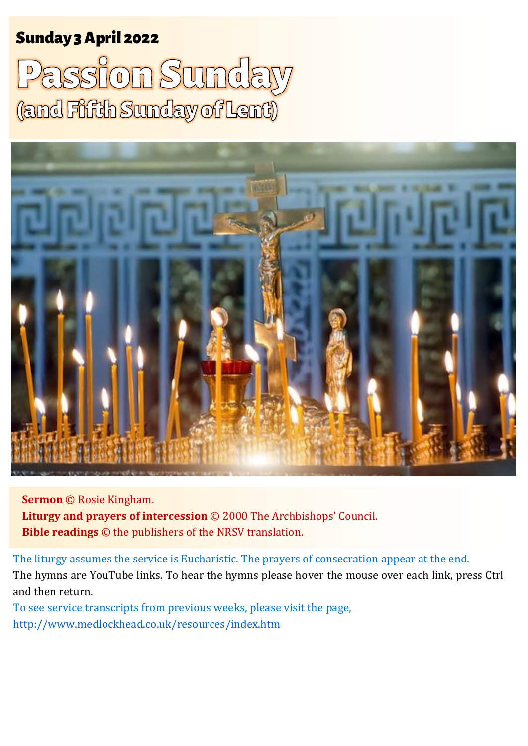### Sunday 3 April 2022 1 The Fifth Sunday of Lent Sunday 3 April 2022

# Passion Sunday (and Fifth Sunday of Lent)



**Sermon** © Rosie Kingham. **Liturgy and prayers of intercession** © 2000 The Archbishops' Council. **Bible readings** © the publishers of the NRSV translation.

The liturgy assumes the service is Eucharistic. The prayers of consecration appear at the end. The hymns are YouTube links. To hear the hymns please hover the mouse over each link, press Ctrl and then return.

To see service transcripts from previous weeks, please visit the page, <http://www.medlockhead.co.uk/resources/index.htm>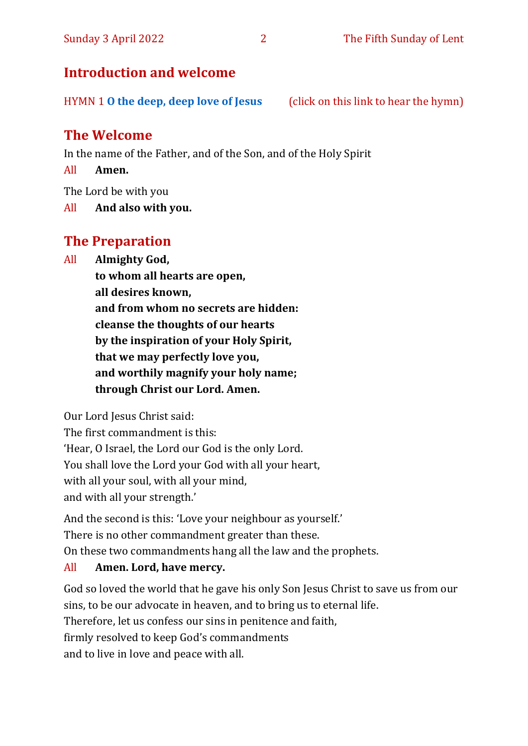#### **Introduction and welcome**

HYMN 1 **[O the deep, deep love of Jesus](https://www.youtube.com/watch?v=1AxD_yHoQxM)** (click on this link to hear the hymn)

#### **The Welcome**

In the name of the Father, and of the Son, and of the Holy Spirit

All **Amen.**

The Lord be with you

All **And also with you.**

#### **The Preparation**

All **Almighty God,**

**to whom all hearts are open, all desires known, and from whom no secrets are hidden: cleanse the thoughts of our hearts by the inspiration of your Holy Spirit, that we may perfectly love you, and worthily magnify your holy name; through Christ our Lord. Amen.**

Our Lord Jesus Christ said:

The first commandment is this: 'Hear, O Israel, the Lord our God is the only Lord. You shall love the Lord your God with all your heart, with all your soul, with all your mind, and with all your strength.'

And the second is this: 'Love your neighbour as yourself.' There is no other commandment greater than these. On these two commandments hang all the law and the prophets.

#### All **Amen. Lord, have mercy.**

God so loved the world that he gave his only Son Jesus Christ to save us from our sins, to be our advocate in heaven, and to bring us to eternal life. Therefore, let us confess our sins in penitence and faith, firmly resolved to keep God's commandments and to live in love and peace with all.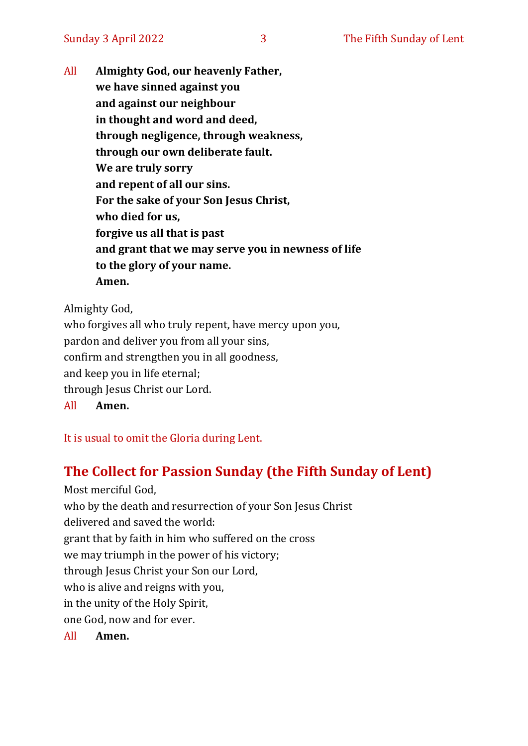All **Almighty God, our heavenly Father, we have sinned against you and against our neighbour in thought and word and deed, through negligence, through weakness, through our own deliberate fault. We are truly sorry and repent of all our sins. For the sake of your Son Jesus Christ, who died for us, forgive us all that is past and grant that we may serve you in newness of life to the glory of your name. Amen.**

Almighty God,

who forgives all who truly repent, have mercy upon you, pardon and deliver you from all your sins, confirm and strengthen you in all goodness, and keep you in life eternal; through Jesus Christ our Lord. All **Amen.**

It is usual to omit the Gloria during Lent.

#### **The Collect for Passion Sunday (the Fifth Sunday of Lent)**

Most merciful God, who by the death and resurrection of your Son Jesus Christ delivered and saved the world: grant that by faith in him who suffered on the cross we may triumph in the power of his victory; through Jesus Christ your Son our Lord, who is alive and reigns with you, in the unity of the Holy Spirit, one God, now and for ever. All **Amen.**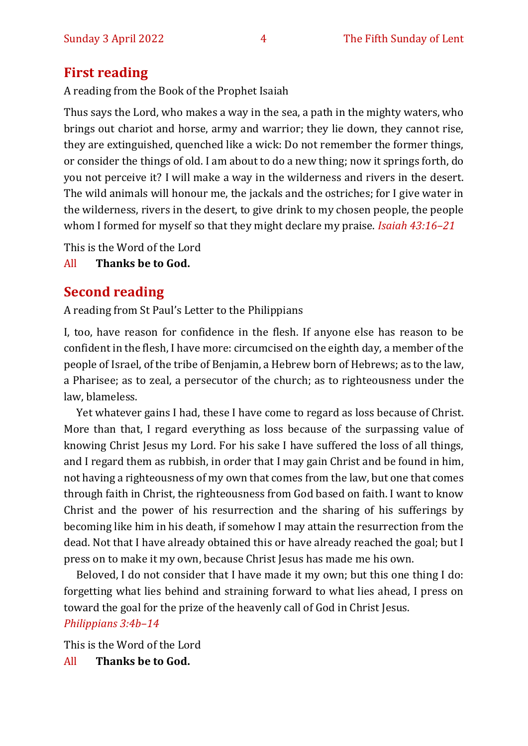#### **First reading**

A reading from the Book of the Prophet Isaiah

Thus says the Lord, who makes a way in the sea, a path in the mighty waters, who brings out chariot and horse, army and warrior; they lie down, they cannot rise, they are extinguished, quenched like a wick: Do not remember the former things, or consider the things of old. I am about to do a new thing; now it springs forth, do you not perceive it? I will make a way in the wilderness and rivers in the desert. The wild animals will honour me, the jackals and the ostriches; for I give water in the wilderness, rivers in the desert, to give drink to my chosen people, the people whom I formed for myself so that they might declare my praise. *Isaiah 43:16–21* 

This is the Word of the Lord

#### All **Thanks be to God.**

#### **Second reading**

A reading from St Paul's Letter to the Philippians

I, too, have reason for confidence in the flesh. If anyone else has reason to be confident in the flesh, I have more: circumcised on the eighth day, a member of the people of Israel, of the tribe of Benjamin, a Hebrew born of Hebrews; as to the law, a Pharisee; as to zeal, a persecutor of the church; as to righteousness under the law, blameless.

Yet whatever gains I had, these I have come to regard as loss because of Christ. More than that, I regard everything as loss because of the surpassing value of knowing Christ Jesus my Lord. For his sake I have suffered the loss of all things, and I regard them as rubbish, in order that I may gain Christ and be found in him, not having a righteousness of my own that comes from the law, but one that comes through faith in Christ, the righteousness from God based on faith. I want to know Christ and the power of his resurrection and the sharing of his sufferings by becoming like him in his death, if somehow I may attain the resurrection from the dead. Not that I have already obtained this or have already reached the goal; but I press on to make it my own, because Christ Jesus has made me his own.

Beloved, I do not consider that I have made it my own; but this one thing I do: forgetting what lies behind and straining forward to what lies ahead, I press on toward the goal for the prize of the heavenly call of God in Christ Jesus. *Philippians 3:4b–14*

This is the Word of the Lord All **Thanks be to God.**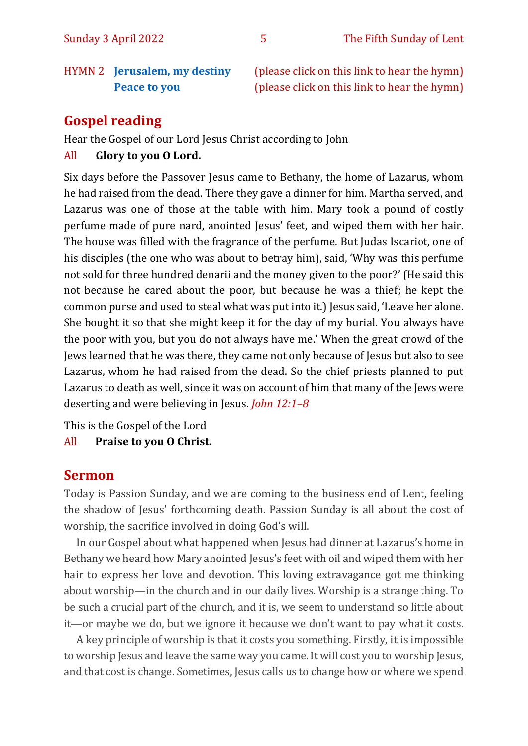HYMN 2 **[Jerusalem, my destiny](https://www.youtube.com/watch?v=mG6thyHErVc)** (please click on this link to hear the hymn) **[Peace to you](https://www.youtube.com/watch?v=Suw9XBBzvDQ)** (please click on this link to hear the hymn)

#### **Gospel reading**

Hear the Gospel of our Lord Jesus Christ according to John

#### All **Glory to you O Lord.**

Six days before the Passover Jesus came to Bethany, the home of Lazarus, whom he had raised from the dead. There they gave a dinner for him. Martha served, and Lazarus was one of those at the table with him. Mary took a pound of costly perfume made of pure nard, anointed Jesus' feet, and wiped them with her hair. The house was filled with the fragrance of the perfume. But Judas Iscariot, one of his disciples (the one who was about to betray him), said, 'Why was this perfume not sold for three hundred denarii and the money given to the poor?' (He said this not because he cared about the poor, but because he was a thief; he kept the common purse and used to steal what was put into it.) Jesus said, 'Leave her alone. She bought it so that she might keep it for the day of my burial. You always have the poor with you, but you do not always have me.' When the great crowd of the Jews learned that he was there, they came not only because of Jesus but also to see Lazarus, whom he had raised from the dead. So the chief priests planned to put Lazarus to death as well, since it was on account of him that many of the Jews were deserting and were believing in Jesus. *John 12:1–8* 

This is the Gospel of the Lord

All **Praise to you O Christ.** 

#### **Sermon**

Today is Passion Sunday, and we are coming to the business end of Lent, feeling the shadow of Jesus' forthcoming death. Passion Sunday is all about the cost of worship, the sacrifice involved in doing God's will.

In our Gospel about what happened when Jesus had dinner at Lazarus's home in Bethany we heard how Mary anointed Jesus's feet with oil and wiped them with her hair to express her love and devotion. This loving extravagance got me thinking about worship—in the church and in our daily lives. Worship is a strange thing. To be such a crucial part of the church, and it is, we seem to understand so little about it—or maybe we do, but we ignore it because we don't want to pay what it costs.

A key principle of worship is that it costs you something. Firstly, it is impossible to worship Jesus and leave the same way you came. It will cost you to worship Jesus, and that cost is change. Sometimes, Jesus calls us to change how or where we spend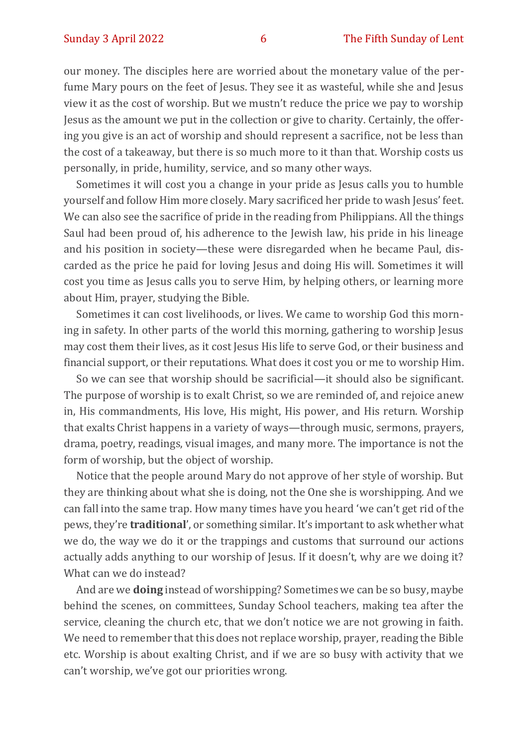our money. The disciples here are worried about the monetary value of the perfume Mary pours on the feet of Jesus. They see it as wasteful, while she and Jesus view it as the cost of worship. But we mustn't reduce the price we pay to worship Jesus as the amount we put in the collection or give to charity. Certainly, the offering you give is an act of worship and should represent a sacrifice, not be less than the cost of a takeaway, but there is so much more to it than that. Worship costs us personally, in pride, humility, service, and so many other ways.

Sometimes it will cost you a change in your pride as Jesus calls you to humble yourself and follow Him more closely. Mary sacrificed her pride to wash Jesus' feet. We can also see the sacrifice of pride in the reading from Philippians. All the things Saul had been proud of, his adherence to the Jewish law, his pride in his lineage and his position in society—these were disregarded when he became Paul, discarded as the price he paid for loving Jesus and doing His will. Sometimes it will cost you time as Jesus calls you to serve Him, by helping others, or learning more about Him, prayer, studying the Bible.

Sometimes it can cost livelihoods, or lives. We came to worship God this morning in safety. In other parts of the world this morning, gathering to worship Jesus may cost them their lives, as it cost Jesus His life to serve God, or their business and financial support, or their reputations. What does it cost you or me to worship Him.

So we can see that worship should be sacrificial—it should also be significant. The purpose of worship is to exalt Christ, so we are reminded of, and rejoice anew in, His commandments, His love, His might, His power, and His return. Worship that exalts Christ happens in a variety of ways—through music, sermons, prayers, drama, poetry, readings, visual images, and many more. The importance is not the form of worship, but the object of worship.

Notice that the people around Mary do not approve of her style of worship. But they are thinking about what she is doing, not the One she is worshipping. And we can fall into the same trap. How many times have you heard 'we can't get rid of the pews, they're **traditional**', or something similar. It's important to ask whether what we do, the way we do it or the trappings and customs that surround our actions actually adds anything to our worship of Jesus. If it doesn't, why are we doing it? What can we do instead?

And are we **doing** instead of worshipping? Sometimes we can be so busy, maybe behind the scenes, on committees, Sunday School teachers, making tea after the service, cleaning the church etc, that we don't notice we are not growing in faith. We need to remember that this does not replace worship, prayer, reading the Bible etc. Worship is about exalting Christ, and if we are so busy with activity that we can't worship, we've got our priorities wrong.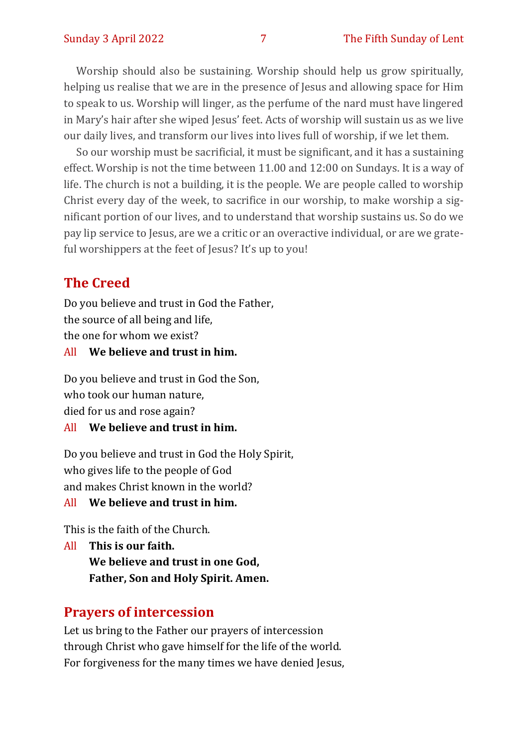Worship should also be sustaining. Worship should help us grow spiritually, helping us realise that we are in the presence of Jesus and allowing space for Him to speak to us. Worship will linger, as the perfume of the nard must have lingered in Mary's hair after she wiped Jesus' feet. Acts of worship will sustain us as we live our daily lives, and transform our lives into lives full of worship, if we let them.

So our worship must be sacrificial, it must be significant, and it has a sustaining effect. Worship is not the time between 11.00 and 12:00 on Sundays. It is a way of life. The church is not a building, it is the people. We are people called to worship Christ every day of the week, to sacrifice in our worship, to make worship a significant portion of our lives, and to understand that worship sustains us. So do we pay lip service to Jesus, are we a critic or an overactive individual, or are we grateful worshippers at the feet of Jesus? It's up to you!

#### **The Creed**

Do you believe and trust in God the Father, the source of all being and life, the one for whom we exist? All **We believe and trust in him.**

Do you believe and trust in God the Son, who took our human nature, died for us and rose again?

#### All **We believe and trust in him.**

Do you believe and trust in God the Holy Spirit, who gives life to the people of God and makes Christ known in the world?

#### All **We believe and trust in him.**

This is the faith of the Church.

All **This is our faith. We believe and trust in one God, Father, Son and Holy Spirit. Amen.**

#### **Prayers of intercession**

Let us bring to the Father our prayers of intercession through Christ who gave himself for the life of the world. For forgiveness for the many times we have denied Jesus,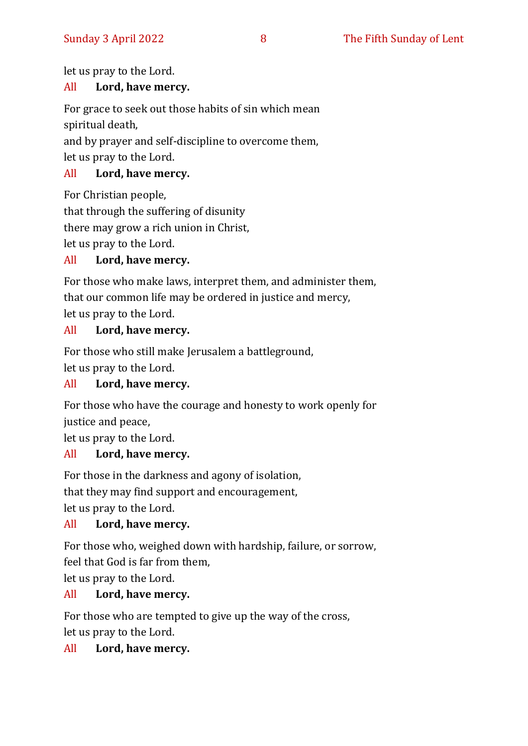let us pray to the Lord.

#### All **Lord, have mercy.**

For grace to seek out those habits of sin which mean

spiritual death,

and by prayer and self-discipline to overcome them,

let us pray to the Lord.

All **Lord, have mercy.**

For Christian people, that through the suffering of disunity there may grow a rich union in Christ, let us pray to the Lord.

#### All **Lord, have mercy.**

For those who make laws, interpret them, and administer them, that our common life may be ordered in justice and mercy, let us pray to the Lord.

#### All **Lord, have mercy.**

For those who still make Jerusalem a battleground, let us pray to the Lord.

#### All **Lord, have mercy.**

For those who have the courage and honesty to work openly for justice and peace,

let us pray to the Lord.

#### All **Lord, have mercy.**

For those in the darkness and agony of isolation,

that they may find support and encouragement,

let us pray to the Lord.

#### All **Lord, have mercy.**

For those who, weighed down with hardship, failure, or sorrow,

feel that God is far from them,

let us pray to the Lord.

#### All **Lord, have mercy.**

For those who are tempted to give up the way of the cross, let us pray to the Lord.

#### All **Lord, have mercy.**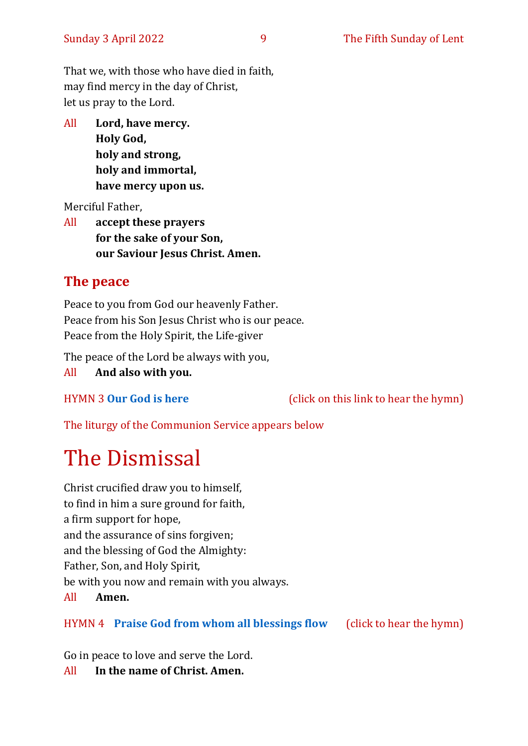That we, with those who have died in faith, may find mercy in the day of Christ, let us pray to the Lord.

All **Lord, have mercy. Holy God, holy and strong, holy and immortal, have mercy upon us.**

Merciful Father,

All **accept these prayers for the sake of your Son, our Saviour Jesus Christ. Amen.**

#### **The peace**

Peace to you from God our heavenly Father. Peace from his Son Jesus Christ who is our peace. Peace from the Holy Spirit, the Life-giver

The peace of the Lord be always with you,

All **And also with you.**

HYMN 3 **[Our God is here](https://www.youtube.com/watch?v=BpQzLl4eT6E)** (click on this link to hear the hymn)

The liturgy of the Communion Service appears below

## The Dismissal

Christ crucified draw you to himself, to find in him a sure ground for faith, a firm support for hope, and the assurance of sins forgiven; and the blessing of God the Almighty: Father, Son, and Holy Spirit, be with you now and remain with you always. All **Amen.**

HYMN 4 **[Praise God from whom all blessings flow](https://www.youtube.com/watch?v=CRuCjj9j8Uk)** (click to hear the hymn)

Go in peace to love and serve the Lord.

All **In the name of Christ. Amen.**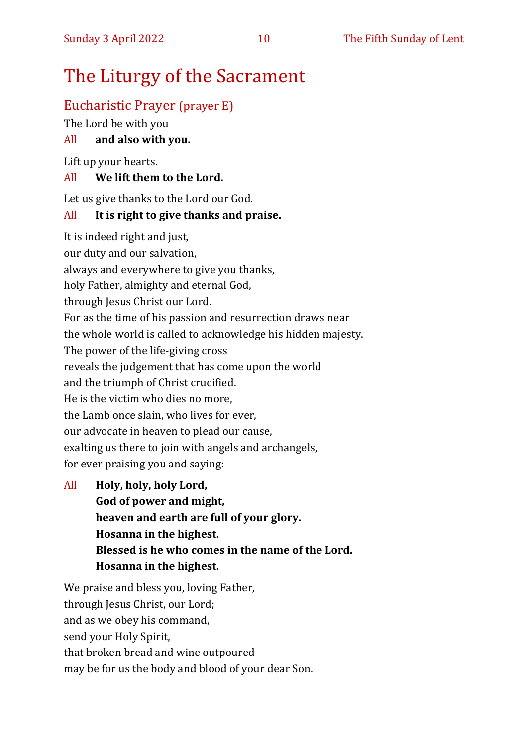### The Liturgy of the Sacrament

#### Eucharistic Prayer (prayer E)

The Lord be with you

#### All **and also with you.**

Lift up your hearts.

#### All **We lift them to the Lord.**

Let us give thanks to the Lord our God.

#### All **It is right to give thanks and praise.**

It is indeed right and just, our duty and our salvation, always and everywhere to give you thanks, holy Father, almighty and eternal God, through Jesus Christ our Lord. For as the time of his passion and resurrection draws near the whole world is called to acknowledge his hidden majesty. The power of the life-giving cross reveals the judgement that has come upon the world and the triumph of Christ crucified. He is the victim who dies no more, the Lamb once slain, who lives for ever, our advocate in heaven to plead our cause, exalting us there to join with angels and archangels, for ever praising you and saying:

All **Holy, holy, holy Lord, God of power and might, heaven and earth are full of your glory. Hosanna in the highest. Blessed is he who comes in the name of the Lord. Hosanna in the highest.**

We praise and bless you, loving Father, through Jesus Christ, our Lord; and as we obey his command, send your Holy Spirit, that broken bread and wine outpoured may be for us the body and blood of your dear Son.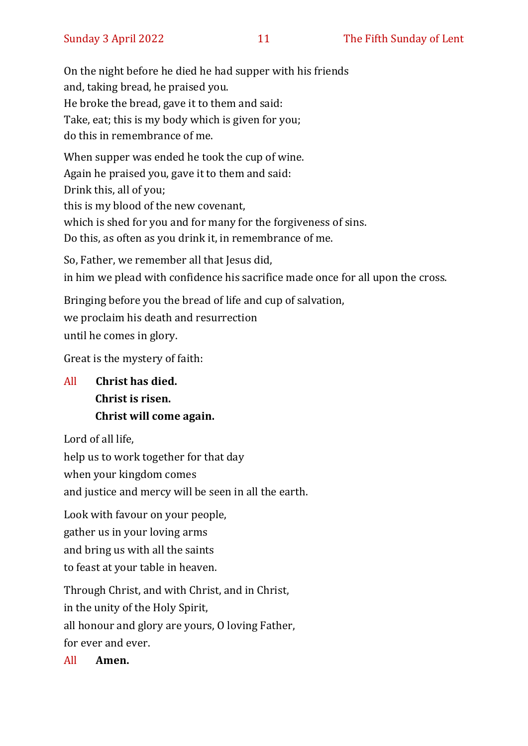On the night before he died he had supper with his friends and, taking bread, he praised you. He broke the bread, gave it to them and said: Take, eat; this is my body which is given for you; do this in remembrance of me.

When supper was ended he took the cup of wine. Again he praised you, gave it to them and said: Drink this, all of you; this is my blood of the new covenant, which is shed for you and for many for the forgiveness of sins. Do this, as often as you drink it, in remembrance of me.

So, Father, we remember all that Jesus did, in him we plead with confidence his sacrifice made once for all upon the cross.

Bringing before you the bread of life and cup of salvation, we proclaim his death and resurrection until he comes in glory.

Great is the mystery of faith:

All **Christ has died. Christ is risen. Christ will come again.**

Lord of all life,

help us to work together for that day

when your kingdom comes

and justice and mercy will be seen in all the earth.

Look with favour on your people, gather us in your loving arms and bring us with all the saints to feast at your table in heaven.

Through Christ, and with Christ, and in Christ, in the unity of the Holy Spirit, all honour and glory are yours, O loving Father, for ever and ever.

All **Amen.**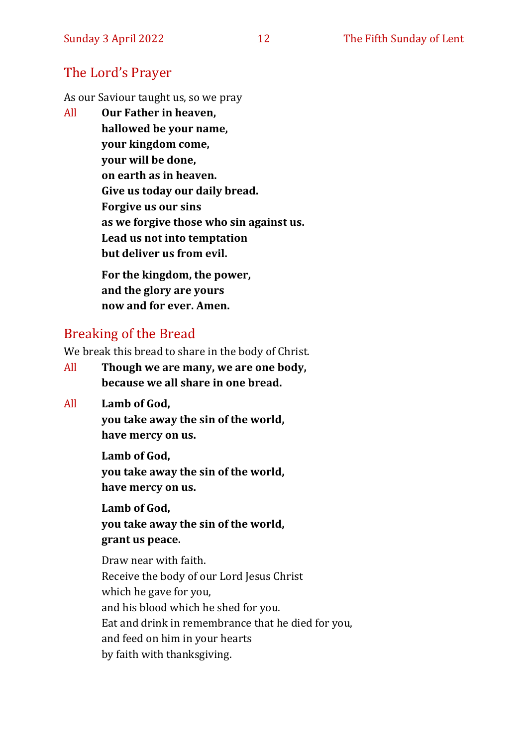#### The Lord's Prayer

As our Saviour taught us, so we pray

All **Our Father in heaven, hallowed be your name, your kingdom come, your will be done, on earth as in heaven. Give us today our daily bread. Forgive us our sins as we forgive those who sin against us. Lead us not into temptation but deliver us from evil. For the kingdom, the power,** 

**and the glory are yours now and for ever. Amen.**

#### Breaking of the Bread

We break this bread to share in the body of Christ.

- All **Though we are many, we are one body, because we all share in one bread.**
- All **Lamb of God,**

**you take away the sin of the world, have mercy on us.**

**Lamb of God, you take away the sin of the world, have mercy on us.**

**Lamb of God, you take away the sin of the world, grant us peace.**

Draw near with faith. Receive the body of our Lord Jesus Christ which he gave for you, and his blood which he shed for you. Eat and drink in remembrance that he died for you, and feed on him in your hearts by faith with thanksgiving.